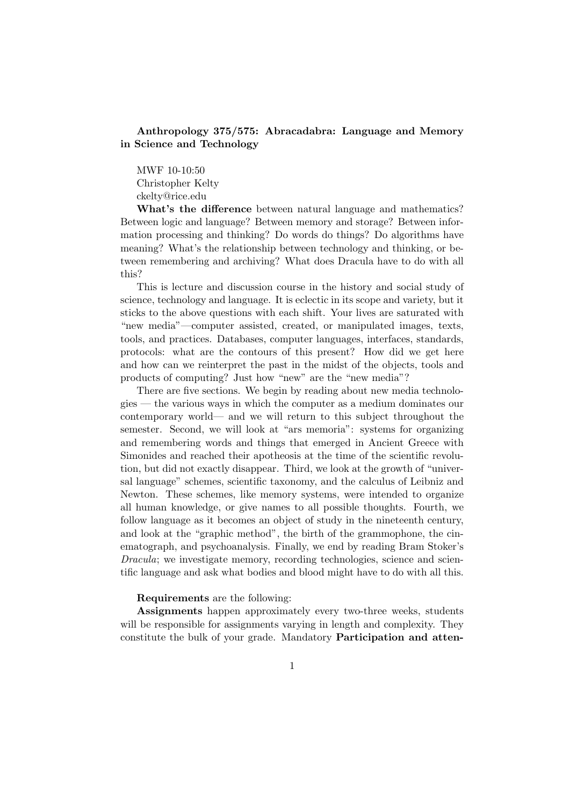## Anthropology 375/575: Abracadabra: Language and Memory in Science and Technology

MWF 10-10:50 Christopher Kelty ckelty@rice.edu

What's the difference between natural language and mathematics? Between logic and language? Between memory and storage? Between information processing and thinking? Do words do things? Do algorithms have meaning? What's the relationship between technology and thinking, or between remembering and archiving? What does Dracula have to do with all this?

This is lecture and discussion course in the history and social study of science, technology and language. It is eclectic in its scope and variety, but it sticks to the above questions with each shift. Your lives are saturated with "new media"—computer assisted, created, or manipulated images, texts, tools, and practices. Databases, computer languages, interfaces, standards, protocols: what are the contours of this present? How did we get here and how can we reinterpret the past in the midst of the objects, tools and products of computing? Just how "new" are the "new media"?

There are five sections. We begin by reading about new media technologies — the various ways in which the computer as a medium dominates our contemporary world— and we will return to this subject throughout the semester. Second, we will look at "ars memoria": systems for organizing and remembering words and things that emerged in Ancient Greece with Simonides and reached their apotheosis at the time of the scientific revolution, but did not exactly disappear. Third, we look at the growth of "universal language" schemes, scientific taxonomy, and the calculus of Leibniz and Newton. These schemes, like memory systems, were intended to organize all human knowledge, or give names to all possible thoughts. Fourth, we follow language as it becomes an object of study in the nineteenth century, and look at the "graphic method", the birth of the grammophone, the cinematograph, and psychoanalysis. Finally, we end by reading Bram Stoker's Dracula; we investigate memory, recording technologies, science and scientific language and ask what bodies and blood might have to do with all this.

#### Requirements are the following:

Assignments happen approximately every two-three weeks, students will be responsible for assignments varying in length and complexity. They constitute the bulk of your grade. Mandatory Participation and atten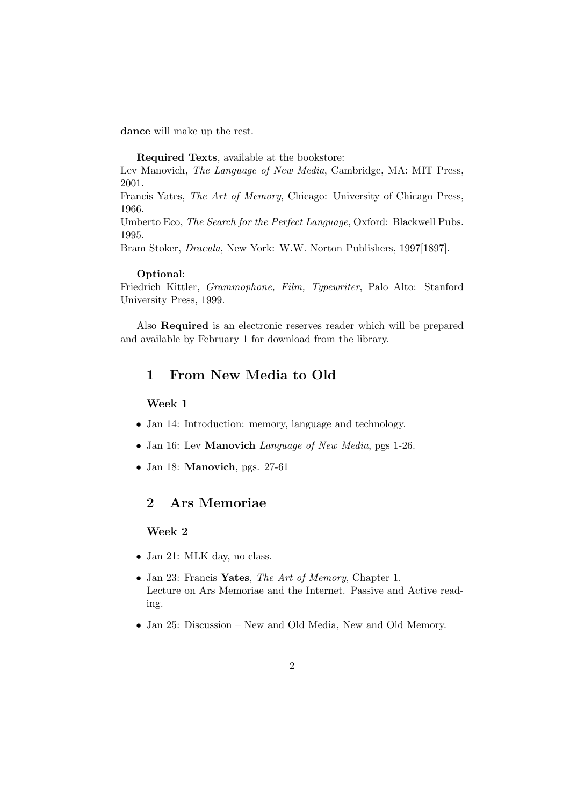dance will make up the rest.

Required Texts, available at the bookstore:

Lev Manovich, The Language of New Media, Cambridge, MA: MIT Press, 2001.

Francis Yates, The Art of Memory, Chicago: University of Chicago Press, 1966.

Umberto Eco, The Search for the Perfect Language, Oxford: Blackwell Pubs. 1995.

Bram Stoker, Dracula, New York: W.W. Norton Publishers, 1997[1897].

#### Optional:

Friedrich Kittler, Grammophone, Film, Typewriter, Palo Alto: Stanford University Press, 1999.

Also Required is an electronic reserves reader which will be prepared and available by February 1 for download from the library.

# 1 From New Media to Old

## Week 1

- Jan 14: Introduction: memory, language and technology.
- Jan 16: Lev Manovich Language of New Media, pgs 1-26.
- Jan 18: **Manovich**, pgs. 27-61

## 2 Ars Memoriae

#### Week 2

- Jan 21: MLK day, no class.
- Jan 23: Francis Yates, The Art of Memory, Chapter 1. Lecture on Ars Memoriae and the Internet. Passive and Active reading.
- Jan 25: Discussion New and Old Media, New and Old Memory.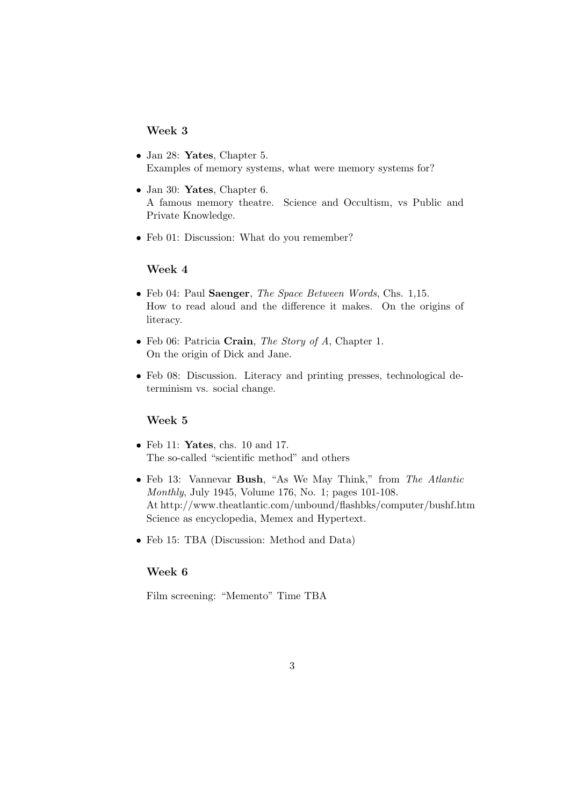## Week 3

- Jan 28: **Yates**, Chapter 5. Examples of memory systems, what were memory systems for?
- Jan 30: **Yates**, Chapter 6. A famous memory theatre. Science and Occultism, vs Public and Private Knowledge.
- Feb 01: Discussion: What do you remember?

#### Week 4

- Feb 04: Paul Saenger, The Space Between Words, Chs. 1,15. How to read aloud and the difference it makes. On the origins of literacy.
- Feb 06: Patricia Crain, The Story of A, Chapter 1. On the origin of Dick and Jane.
- Feb 08: Discussion. Literacy and printing presses, technological determinism vs. social change.

#### Week 5

- Feb 11: Yates, chs. 10 and 17. The so-called "scientific method" and others
- Feb 13: Vannevar Bush, "As We May Think," from The Atlantic Monthly, July 1945, Volume 176, No. 1; pages 101-108. At http://www.theatlantic.com/unbound/flashbks/computer/bushf.htm Science as encyclopedia, Memex and Hypertext.
- Feb 15: TBA (Discussion: Method and Data)

#### Week 6

Film screening: "Memento" Time TBA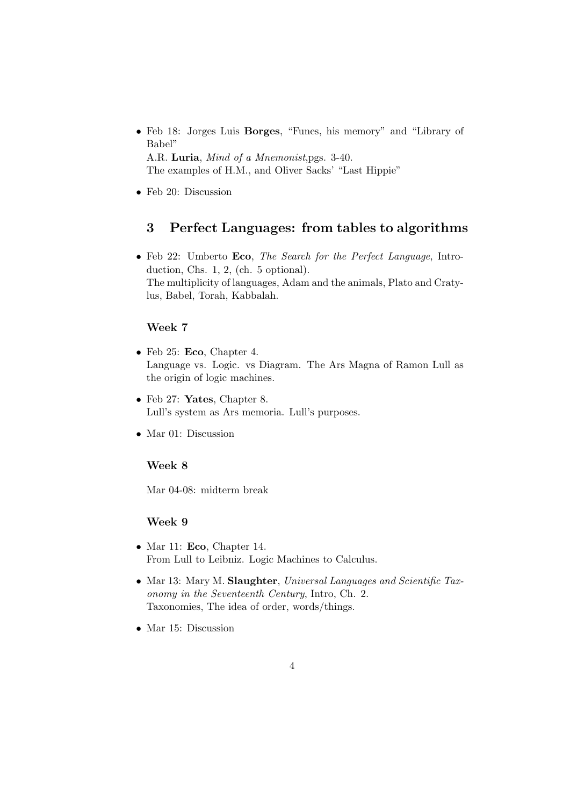- Feb 18: Jorges Luis Borges, "Funes, his memory" and "Library of Babel" A.R. Luria, Mind of a Mnemonist,pgs. 3-40. The examples of H.M., and Oliver Sacks' "Last Hippie"
- Feb 20: Discussion

# 3 Perfect Languages: from tables to algorithms

• Feb 22: Umberto Eco, The Search for the Perfect Language, Introduction, Chs. 1, 2, (ch. 5 optional). The multiplicity of languages, Adam and the animals, Plato and Cratylus, Babel, Torah, Kabbalah.

## Week 7

- Feb 25: Eco, Chapter 4. Language vs. Logic. vs Diagram. The Ars Magna of Ramon Lull as the origin of logic machines.
- Feb 27: **Yates**, Chapter 8. Lull's system as Ars memoria. Lull's purposes.
- Mar 01: Discussion

## Week 8

Mar 04-08: midterm break

## Week 9

- Mar 11: Eco, Chapter 14. From Lull to Leibniz. Logic Machines to Calculus.
- Mar 13: Mary M. Slaughter, Universal Languages and Scientific Taxonomy in the Seventeenth Century, Intro, Ch. 2. Taxonomies, The idea of order, words/things.
- Mar 15: Discussion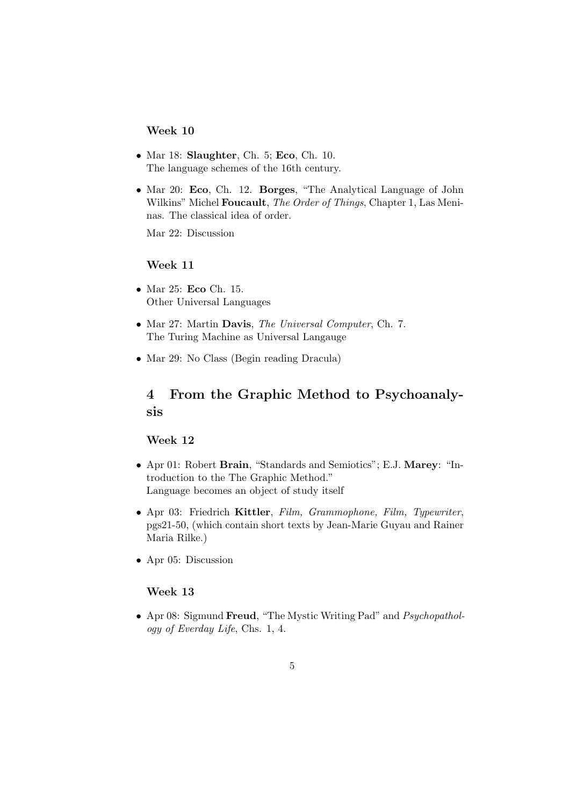## Week 10

- Mar 18: Slaughter, Ch. 5; Eco, Ch. 10. The language schemes of the 16th century.
- Mar 20: Eco, Ch. 12. Borges, "The Analytical Language of John Wilkins" Michel Foucault, The Order of Things, Chapter 1, Las Meninas. The classical idea of order.

Mar 22: Discussion

### Week 11

- Mar 25: Eco Ch. 15. Other Universal Languages
- Mar 27: Martin Davis, The Universal Computer, Ch. 7. The Turing Machine as Universal Langauge
- Mar 29: No Class (Begin reading Dracula)

# 4 From the Graphic Method to Psychoanalysis

## Week 12

- Apr 01: Robert Brain, "Standards and Semiotics"; E.J. Marey: "Introduction to the The Graphic Method." Language becomes an object of study itself
- Apr 03: Friedrich Kittler, Film, Grammophone, Film, Typewriter, pgs21-50, (which contain short texts by Jean-Marie Guyau and Rainer Maria Rilke.)
- Apr 05: Discussion

## Week 13

• Apr 08: Sigmund Freud, "The Mystic Writing Pad" and Psychopathology of Everday Life, Chs. 1, 4.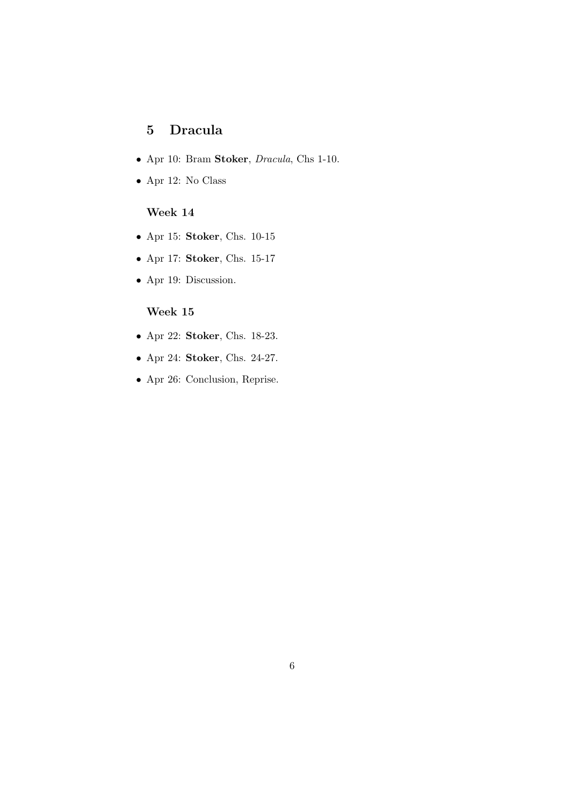# 5 Dracula

- Apr 10: Bram Stoker, Dracula, Chs 1-10.
- $\bullet\,$  Apr 12: No Class

# Week 14

- Apr 15: Stoker, Chs. 10-15
- Apr 17: Stoker, Chs. 15-17
- Apr 19: Discussion.

## Week 15

- Apr 22: Stoker, Chs. 18-23.
- Apr 24: Stoker, Chs. 24-27.
- Apr 26: Conclusion, Reprise.